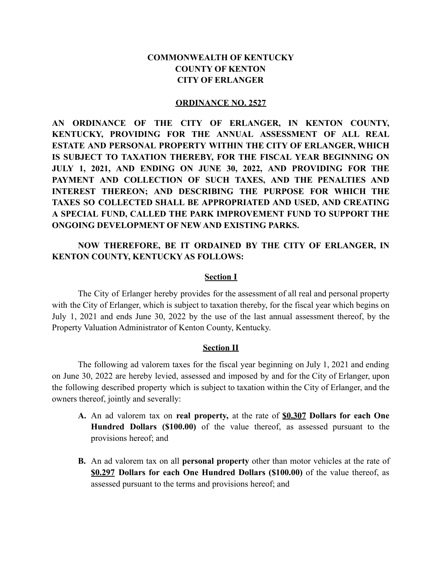# **COMMONWEALTH OF KENTUCKY COUNTY OF KENTON CITY OF ERLANGER**

#### **ORDINANCE NO. 2527**

**AN ORDINANCE OF THE CITY OF ERLANGER, IN KENTON COUNTY, KENTUCKY, PROVIDING FOR THE ANNUAL ASSESSMENT OF ALL REAL ESTATE AND PERSONAL PROPERTY WITHIN THE CITY OF ERLANGER, WHICH IS SUBJECT TO TAXATION THEREBY, FOR THE FISCAL YEAR BEGINNING ON JULY 1, 2021, AND ENDING ON JUNE 30, 2022, AND PROVIDING FOR THE PAYMENT AND COLLECTION OF SUCH TAXES, AND THE PENALTIES AND INTEREST THEREON; AND DESCRIBING THE PURPOSE FOR WHICH THE TAXES SO COLLECTED SHALL BE APPROPRIATED AND USED, AND CREATING A SPECIAL FUND, CALLED THE PARK IMPROVEMENT FUND TO SUPPORT THE ONGOING DEVELOPMENT OF NEW AND EXISTING PARKS.**

# **NOW THEREFORE, BE IT ORDAINED BY THE CITY OF ERLANGER, IN KENTON COUNTY, KENTUCKY AS FOLLOWS:**

#### **Section I**

The City of Erlanger hereby provides for the assessment of all real and personal property with the City of Erlanger, which is subject to taxation thereby, for the fiscal year which begins on July 1, 2021 and ends June 30, 2022 by the use of the last annual assessment thereof, by the Property Valuation Administrator of Kenton County, Kentucky.

#### **Section II**

The following ad valorem taxes for the fiscal year beginning on July 1, 2021 and ending on June 30, 2022 are hereby levied, assessed and imposed by and for the City of Erlanger, upon the following described property which is subject to taxation within the City of Erlanger, and the owners thereof, jointly and severally:

- **A.** An ad valorem tax on **real property,** at the rate of **\$0.307 Dollars for each One Hundred Dollars (\$100.00)** of the value thereof, as assessed pursuant to the provisions hereof; and
- **B.** An ad valorem tax on all **personal property** other than motor vehicles at the rate of **\$0.297 Dollars for each One Hundred Dollars (\$100.00)** of the value thereof, as assessed pursuant to the terms and provisions hereof; and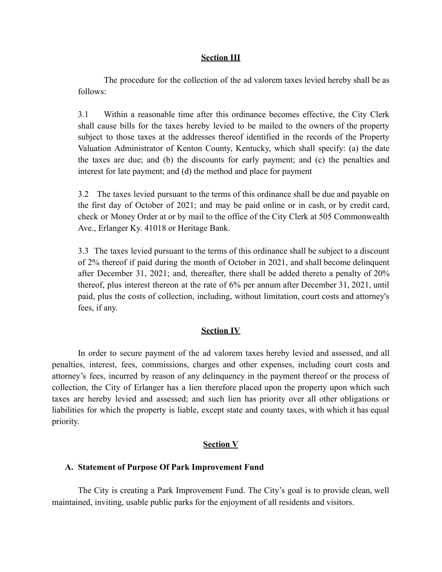# **Section III**

The procedure for the collection of the ad valorem taxes levied hereby shall be as follows:

3.1 Within a reasonable time after this ordinance becomes effective, the City Clerk shall cause bills for the taxes hereby levied to be mailed to the owners of the property subject to those taxes at the addresses thereof identified in the records of the Property Valuation Administrator of Kenton County, Kentucky, which shall specify: (a) the date the taxes are due; and (b) the discounts for early payment; and (c) the penalties and interest for late payment; and (d) the method and place for payment

3.2 The taxes levied pursuant to the terms of this ordinance shall be due and payable on the first day of October of 2021; and may be paid online or in cash, or by credit card, check or Money Order at or by mail to the office of the City Clerk at 505 Commonwealth Ave., Erlanger Ky. 41018 or Heritage Bank.

3.3 The taxes levied pursuant to the terms of this ordinance shall be subject to a discount of 2% thereof if paid during the month of October in 2021, and shall become delinquent after December 31, 2021; and, thereafter, there shall be added thereto a penalty of 20% thereof, plus interest thereon at the rate of 6% per annum after December 31, 2021, until paid, plus the costs of collection, including, without limitation, court costs and attorney's fees, if any.

## **Section IV**

In order to secure payment of the ad valorem taxes hereby levied and assessed, and all penalties, interest, fees, commissions, charges and other expenses, including court costs and attorney's fees, incurred by reason of any delinquency in the payment thereof or the process of collection, the City of Erlanger has a lien therefore placed upon the property upon which such taxes are hereby levied and assessed; and such lien has priority over all other obligations or liabilities for which the property is liable, except state and county taxes, with which it has equal priority.

## **Section V**

## **A. Statement of Purpose Of Park Improvement Fund**

The City is creating a Park Improvement Fund. The City's goal is to provide clean, well maintained, inviting, usable public parks for the enjoyment of all residents and visitors.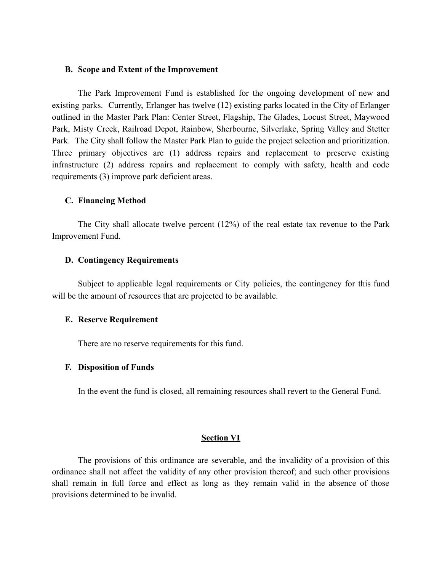# **B. Scope and Extent of the Improvement**

The Park Improvement Fund is established for the ongoing development of new and existing parks. Currently, Erlanger has twelve (12) existing parks located in the City of Erlanger outlined in the Master Park Plan: Center Street, Flagship, The Glades, Locust Street, Maywood Park, Misty Creek, Railroad Depot, Rainbow, Sherbourne, Silverlake, Spring Valley and Stetter Park. The City shall follow the Master Park Plan to guide the project selection and prioritization. Three primary objectives are (1) address repairs and replacement to preserve existing infrastructure (2) address repairs and replacement to comply with safety, health and code requirements (3) improve park deficient areas.

## **C. Financing Method**

The City shall allocate twelve percent (12%) of the real estate tax revenue to the Park Improvement Fund.

#### **D. Contingency Requirements**

Subject to applicable legal requirements or City policies, the contingency for this fund will be the amount of resources that are projected to be available.

#### **E. Reserve Requirement**

There are no reserve requirements for this fund.

#### **F. Disposition of Funds**

In the event the fund is closed, all remaining resources shall revert to the General Fund.

# **Section VI**

The provisions of this ordinance are severable, and the invalidity of a provision of this ordinance shall not affect the validity of any other provision thereof; and such other provisions shall remain in full force and effect as long as they remain valid in the absence of those provisions determined to be invalid.